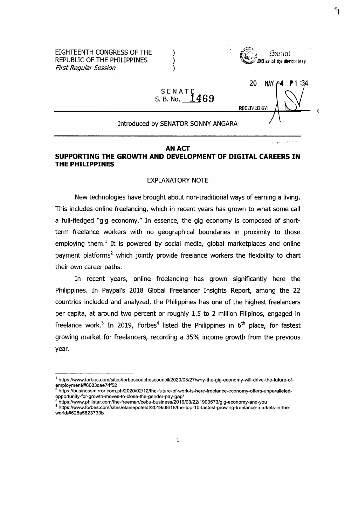EIGHTEENTH CONGRESS OF THE  $)$ REPUBLIC OF THE PHILIPPINES  $)$ *First Regular Session )*



بالمستور وأوالها والمستور والمتلا

ैं।

RECEIVED 6V;

# SENATE **S. B. No. 14R.9**

#### Introduced by SENATOR SONNY ANGARA

#### **AN ACT**

#### **SUPPORTING THE GROWTH AND DEVELOPMENT OF DIGITAL CAREERS IN THE PHILIPPINES**

#### EXPLANATORY NOTE

New technologies have brought about non-traditional ways of earning a living. This includes online freelancing, which in recent years has grown to what some call a full-fledged "gig economy." In essence, the gig economy is composed of shortterm freelance workers with no geographical boundaries in proximity to those employing them.<sup>1</sup> It is powered by social media, global marketplaces and online payment platforms<sup>2</sup> which jointly provide freelance workers the flexibility to chart their own career paths.

In recent years, online freelancing has grown significantly here the Philippines. In Paypal's 2018 Global Freelancer Insights Report, among the 22 countries included and analyzed, the Philippines has one of the highest freelancers per capita, at around two percent or roughly 1.5 to 2 million Filipinos, engaged in freelance work.<sup>3</sup> In 2019, Forbes<sup>4</sup> listed the Philippines in  $6<sup>th</sup>$  place, for fastest growing market for freelancers, recording a 35% income growth from the previous year.

<sup>&</sup>lt;sup>1</sup> https://www.forbes.com/sites/forbescoachescouncil/2020/03/27/why-the-gig-economy-will-drive-the-future-of[employment/#6083cae74f52](https://www.forbes.eom/sites/forbescoachescouncil/2020/03/27/why-the-gig-economy-will-drive-the-future-of-employment/%236083cae74f52)

<sup>2</sup> [https://businessmirror.com.ph/2020/02/12/the-future-of-work-is-here-freelance-economy-offers-unparalleled](https://businessmirror.com.ph/2020/02/12/the-future-of-work-is-here-freelance-economy-offers-unparalleled-opportunity-for-growth-moves-to-close-the-gender-pay-gap/)[opportunity-for-growth-moves-to-close-the-gender-pay-gap/](https://businessmirror.com.ph/2020/02/12/the-future-of-work-is-here-freelance-economy-offers-unparalleled-opportunity-for-growth-moves-to-close-the-gender-pay-gap/)

<sup>3</sup> <https://www.philstar.eom/the-freeman/cebu-business/2019/03/22/1903573/gig-economy-and-you>

<sup>4</sup> [https://www.forbes.com/sites/elainepofeldt/2019/08/18/the-top-10-fastest-growing-freelance-markets-in-the](https://www.forbes.com/sites/elainepofeldt/2019/08/18/the-top-10-fastest-growing-freelance-markets-in-the-world/%23628a5823733b)[world/#628a5823733b](https://www.forbes.com/sites/elainepofeldt/2019/08/18/the-top-10-fastest-growing-freelance-markets-in-the-world/%23628a5823733b)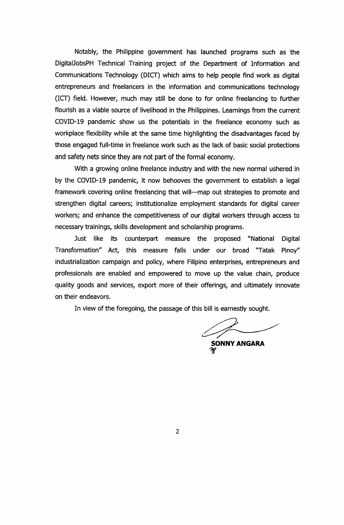Notably, the Philippine government has launched programs such as the DigitalJobsPH Technical Training project of the Department of Information and Communications Technology (DICT) which aims to help people find work as digital entrepreneurs and freelancers in the information and communications technology (ICT) field. However, much may still be done to for online freelancing to further flourish as a viable source of livelihood in the Philippines. Learnings from the current COVID-19 pandemic show us the potentials in the freelance economy such as workplace flexibility while at the same time highlighting the disadvantages faced by those engaged full-time in freelance work such as the lack of basic social protections and safety nets since they are not part of the formal economy.

With a growing online freelance industry and with the new normal ushered in by the COVID-19 pandemic, it now behooves the government to establish a legal framework covering online freelancing that will—map out strategies to promote and strengthen digital careers; institutionalize employment standards for digital career workers; and enhance the competitiveness of our digital workers through access to necessary trainings, skills development and scholarship programs.

Just like its counterpart measure the proposed "National Digital Transformation" Act, this measure falls under our broad "Tatak Pinoy" industrialization campaign and policy, where Filipino enterprises, entrepreneurs and professionals are enabled and empowered to move up the value chain, produce quality goods and services, export more of their offerings, and ultimately innovate on their endeavors.

In view of the foregoing, the passage of this bill is earnestly sought.

**SONNY ANGARA If**

 $\overline{2}$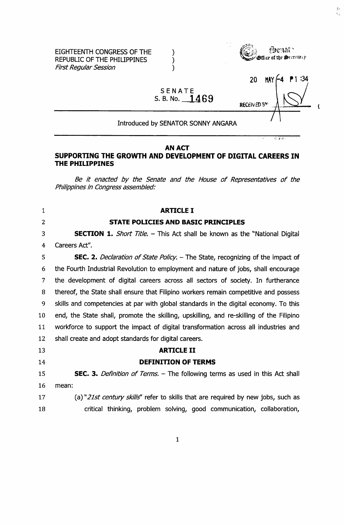

#### Introduced by SENATOR SONNY ANGARA

SENATE **B. No. <sup>1</sup> 4R9**

#### **AN ACT**

#### **SUPPORTING THE GROWTH AND DEVELOPMENT OF DIGITAL CAREERS IN THE PHILIPPINES**

*Be it enacted by the Senate and the House of Representatives of the Philippines in Congress assembled:*

# 1 **ARTICLE I 2 STATE POLICIES AND BASIC PRINCIPLES <sup>3</sup> SECTION 1.** *Short Title. -* This Act shall be known as the "National Digital 4 Careers Act". 5 **SEC. 2.** *Declaration of State Policy.* – The State, recognizing of the impact of 6 the Fourth Industrial Revolution to employment and nature of jobs, shall encourage 7 the development of digital careers across all sectors of society. In furtherance 8 thereof, the State shall ensure that Filipino workers remain competitive and possess 9 skills and competencies at par with global standards in the digital economy. To this 10 end, the State shall, promote the skilling, upskilling, and re-skilling of the Filipino 11 workforce to support the impact of digital transformation across all industries and 12 shall create and adopt standards for digital careers. 13 **ARTICLE II 14 DEFINITION OF TERMS** <sup>15</sup> **SEC. 3.** *Definition of Terms.* - The following terms as used in this Act shall 16 mean: 17 (a) *"21st century skills"* refer to skills that are required by new jobs, such as 18 critical thinking, problem solving, good communication, collaboration.

 $\mathbf{1}$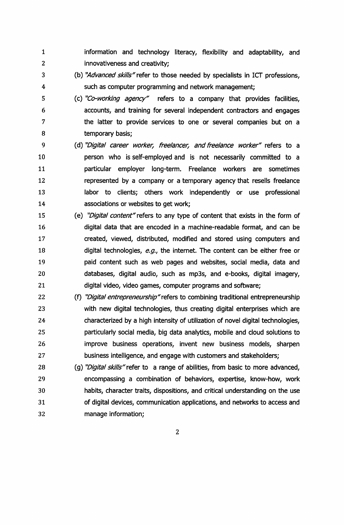- 1 2 information and technology literacy, flexibility and adaptability, and innovativeness and creativity;
- 3 4 (b) *"Advanced skills"*refer to those needed by specialists in ICT professions, such as computer programming and network management;
- 5 6 7 8 (c) *"Co-working agency"* refers to a company that provides facilities, accounts, and training for several independent contractors and engages the latter to provide services to one or several companies but on a temporary basis;
- 9 10 11 12 13 14 (d) *"Digital career worker, freelancer, and freelance worker"* refers to a person who is self-employed and is not necessarily committed to a particular employer long-term. Freelance workers are sometimes represented by a company or a temporary agency that reseils freelance labor to clients; others work independently or use professional associations or websites to get work;
- 15 16 17 18 19 20 21 (e) *"Digital content'refers* to any type of content that exists in the form of digitai data that are encoded in a machine-readable format, and can be created, viewed, distributed, modified and stored using computers and digital technologies, *e.g.,* the internet. The content can be either free or paid content such as web pages and websites, social media, data and databases, digital audio, such as mp3s, and e-books, digital imagery, digital video, video games, computer programs and software;
- 22 23 24 25 26 27 (f) *"Digital entrepreneurship"refers* to combining traditional entrepreneurship with new digital technologies, thus creating digital enterprises which are characterized by a high intensity of utilization of novel digital technologies, particularly social media, big data analytics, mobile and cloud solutions to improve business operations, invent new business models, sharpen business intelligence, and engage with customers and stakeholders;
- 28 29 30 31 32 (g) *"Digital skills"refer* to a range of abilities, from basic to more advanced, encompassing a combination of behaviors, expertise, know-how, work habits, character traits, dispositions, and critical understanding on the use of digital devices, communication applications, and networks to access and manage information;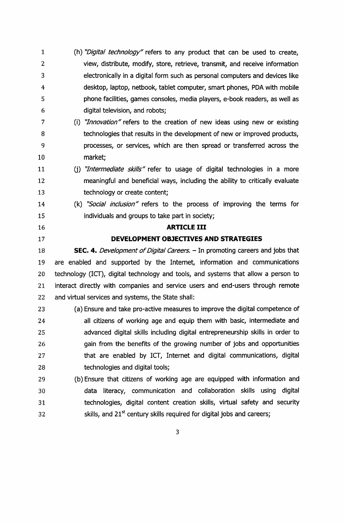- (h) *"Digital technology"* refers to any product that can be used to create, view, distribute, modify, store, retrieve, transmit, and receive information electronically in a digital form such as personal computers and devices like desktop, laptop, netbook, tablet computer, smart phones, PDA with mobile phone facilities, games consoles, media players, e-book readers, as well as digital television, and robots;
- (i) *"Innovation" refers* to the creation of new ideas using new or existing 8 technologies that results in the development of new or improved products, **processes, or services, which are then spread or transferred across the** market;
- 0) *"Intermediate skills"* refer to usage of digital technologies in a more meaningful and beneficial ways, including the ability to critically evaluate technology or create content;
- (k) *"Social inclusion"* refers to the process of improving the terms for individuals and groups to take part in society;

#### **ARTICLE III**

#### **DEVELOPMENT OBJECTIVES AND STRATEGIES**

**SEC. 4.** *Development of Digital Careers.* – In promoting careers and jobs that are enabled and supported by the Internet, information and communications technology (ICT), digital technology and tools, and systems that allow a person to interact directly with companies and service users and end-users through remote and virtual services and systems, the State shall:

- (a) Ensure and take pro-active measures to improve the digital competence of all citizens of working age and equip them with basic, intermediate and advanced digital skills including digital entrepreneurship skills in order to gain from the benefits of the growing number of jobs and opportunities that are enabled by ICT, Internet and digital communications, digital technologies and digital tools;
- (b) Ensure that citizens of working age are equipped with information and data literacy, communication and collaboration skills using digital technologies, digital content creation skills, virtual safety and security skills, and  $21<sup>st</sup>$  century skills required for digital jobs and careers;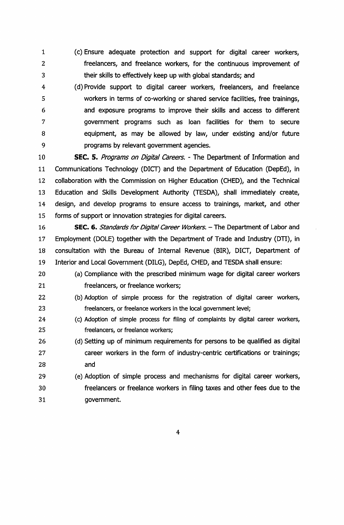- (c) Ensure adequate protection and support for digital career workers, freelancers, and freelance workers, for the continuous improvement of their skills to effectively keep up with global standards; and
- (d) Provide support to digital career workers, freelancers, and freelance workers in terms of co-working or shared service facilities, free trainings, and exposure programs to improve their skills and access to different government programs such as loan facilities for them to secure equipment, as may be allowed by law, under existing and/or future programs by relevant government agencies.

 **SEC.** 5. *Programs on Digital Careers. -* The Department of Information and Communications Technology (DICT) and the Department of Education (DepEd), in collaboration with the Commission on Higher Education (CHED), and the Technical Education and Skills Development Authority (TESDA), shall immediately create, design, and develop programs to ensure access to trainings, market, and other forms of support or innovation strategies for digital careers.

- **SEC.** 6. *Standards for Digital Career Workers. -* The Department of Labor and Employment (DOLE) together with the Department of Trade and Industry (DTI), in consultation with the Bureau of Internal Revenue (BIR), DICT, Department of Interior and Local Government (DILG), DepEd, CHED, and TESDA shall ensure:
- (a) Compliance with the prescribed minimum wage for digital career workers freelancers, or freelance workers;
- (b) Adoption of simple process for the registration of digital career workers, freelancers, or freelance workers in the local government level;
- (c) Adoption of simple process for filing of complaints by digital career workers, freelancers, or freelance workers;
- (d) Setting up of minimum requirements for persons to be qualified as digital 27 career workers in the form of industry-centric certifications or trainings; and
- (e) Adoption of simple process and mechanisms for digital career workers, **freelancers or freelance workers in filing taxes and other fees due to the** government.

 $\overline{\mathbf{4}}$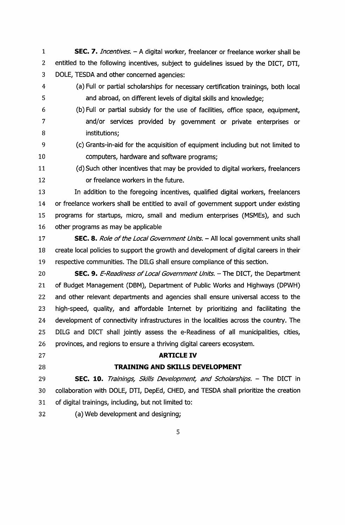**SEC.** 7. *Incentives. -* <sup>A</sup> digital worker, freelancer or freelance worker shall be entitled to the following incentives, subject to guidelines issued by the DICT, DTI, DOLE, TESDA and other concerned agencies:

- (a) Full or partial scholarships for necessary certification trainings, both local and abroad, on different levels of digital skills and knowledge;
- (b) Full or partial subsidy for the use of facilities, office space, equipment, and/or services provided by government or private enterprises or institutions;
- (c) Grants-in-aid for the acquisition of equipment including but not limited to 10 computers, hardware and software programs;
- (d)Such other incentives that may be provided to digital workers, freelancers or freelance workers in the future.

 In addition to the foregoing incentives, qualified digital workers, freelancers or freelance workers shall be entitled to avail of government support under existing programs for startups, micro, small and medium enterprises (MSMEs), and such other programs as may be applicable

- **SEC. 8.** *Role of the Local Government Units.* All local government units shall create local policies to support the growth and development of digital careers in their respective communities. The DILG shall ensure compliance of this section.
- **SEC.** 9. *E-Readiness ofLocal Government Units. -* The DICT, the Department of Budget Management (DBM), Department of Public Works and Highways (DPWH) and other relevant departments and agencies shall ensure universal access to the high-speed, quality, and affordable Internet by prioritizing and facilitating the development of connectivity infrastructures in the localities across the country. The DILG and DICT shall jointly assess the e-Readiness of all municipalities, cities, provinces, and regions to ensure a thriving digital careers ecosystem.
- 

## **ARTICLE IV**

### **TRAINING AND SKILLS DEVELOPMENT**

 **SEC. 10.** *Trainings, Skills Development, and Scholarships. -* The DICT in collaboration with DOLE, DTI, DepEd, CHED, and TESDA shall prioritize the creation of digital trainings, including, but not limited to:

(a) Web development and designing;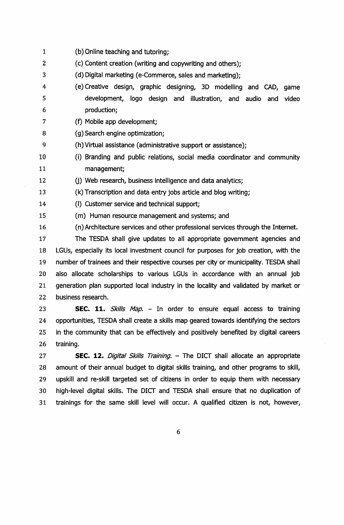(b) Online teaching and tutoring; (c) Content creation (writing and copywriting and others); (d) Digital marketing (e-Commerce, sales and marketing); (e) Creative design, graphic designing, 3D modelling and CAD, game development, logo design and illustration, and audio and video production; (f) Mobile app development; (g) Search engine optimization; (h) Virtual assistance (administrative support or assistance); (i) Branding and public relations, social media coordinator and community management; (j) Web research, business intelligence and data analytics; (k) Transcription and data entry jobs article and blog writing; (I) Customer service and technical support; (m) Human resource management and systems; and (n) Architecture services and other professional services through the Internet. The TESDA shall give updates to all appropriate government agencies and LGUs, especially its local investment council for purposes for job creation, with the number of trainees and their respective courses per city or municipality. TESDA shall also allocate scholarships to various LGUs in accordance with an annual job generation plan supported local industry in the locality and validated by market or business research. **SEC.** 11. *Skills Map. -* In order to ensure equal access to training

 opportunities, TESDA shall create a skills map geared towards identifying the sectors in the community that can be effectively and positively benefited by digital careers training.

 **SEC.** 12. *Digital Skills Training. -* The DICT shall allocate an appropriate amount of their annual budget to digital skills training, and other programs to skill, upskill and re-skill targeted set of citizens in order to equip them with necessary high-level digital skills. The DICT and TESDA shall ensure that no duplication of trainings for the same skill level will occur. A qualified citizen is not, however.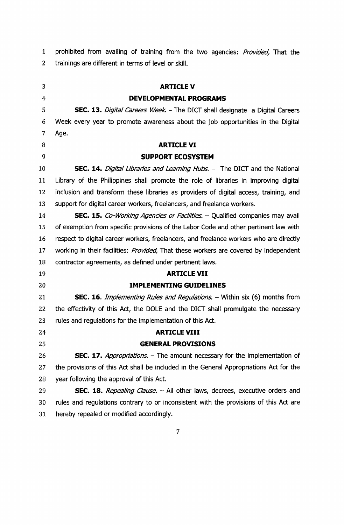prohibited from avaiiing of training from the two agencies: *Provided,* That the 2 trainings are different in terms of level or skill.

 **ARTICLE V DEVELOPMENTAL PROGRAMS SEC. 13.** *Digital Careers Week. -* The DICT shaii designate <sup>a</sup> Digitai Careers Week every year to promote awareness about the job opportunities in the Digitai Age. **ARTICLE VI SUPPORT ECOSYSTEM SEC. 14.** *Digital Libraries and Learning Hubs. -* The DICT and the Nationai 11 Library of the Philippines shall promote the role of libraries in improving digital inciusion and transform these iibraries as providers of digitai access, training, and support for digitai career workers, freeiancers, and freeiance workers. **SEC.** 15. *Co-Working Agencies or Facilities. -* Quaiified companies may avaii of exemption from specific provisions of the Labor Code and other pertinent iaw with respect to digital career workers, freelancers, and freelance workers who are directly working in their facilities: *Provided,* That these workers are covered by independent contractor agreements, as defined under pertinent laws. **ARTICLE VII IMPLEMENTING GUIDELINES SEC. 16.** *Implementing Rules and Regulations. -* Within six (6) months from the effectivity of this Act, the DOLE and the DICT shall promulgate the necessary rules and regulations for the implementation of this Act. **ARTICLE VIII GENERAL PROVISIONS SEC. 17.** *Appropriations. -* The amount necessary for the implementation of the provisions of this Act shall be included in the General Appropriations Act for the year following the approval of this Act. **SEC.** 18. *Repealing Clause. -* All other laws, decrees, executive orders and rules and regulations contrary to or inconsistent with the provisions of this Act are hereby repealed or modified accordingly.